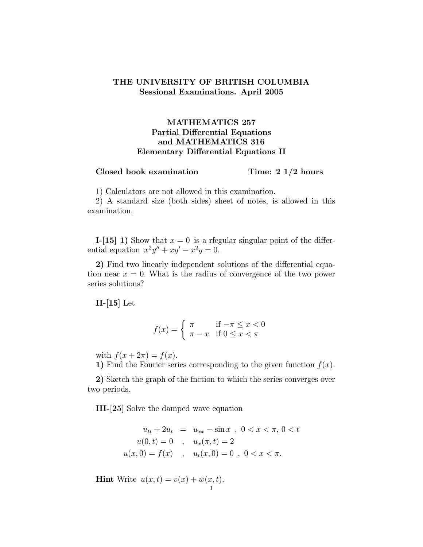## THE UNIVERSITY OF BRITISH COLUMBIA Sessional Examinations. April 2005

## MATHEMATICS 257 Partial Differential Equations and MATHEMATICS 316 Elementary Differential Equations II

## $\emph{Closed book examination}$  Time: 2 1/2 hours

1) Calculators are not allowed in this examination.

2) A standard size (both sides) sheet of notes, is allowed in this examination.

**I-[15] 1)** Show that  $x = 0$  is a regular singular point of the differential equation  $x^2y'' + xy' - x^2y = 0$ .

2) Find two linearly independent solutions of the differential equation near  $x = 0$ . What is the radius of convergence of the two power series solutions?

 $II-[15]$  Let

$$
f(x) = \begin{cases} \pi & \text{if } -\pi \le x < 0\\ \pi - x & \text{if } 0 \le x < \pi \end{cases}
$$

with  $f(x+2\pi) = f(x)$ .

1) Find the Fourier series corresponding to the given function  $f(x)$ .

2) Sketch the graph of the fnction to which the series converges over two periods.

III-[25] Solve the damped wave equation

$$
u_{tt} + 2u_t = u_{xx} - \sin x , 0 < x < \pi, 0 < t
$$
  
\n
$$
u(0, t) = 0 , u_x(\pi, t) = 2
$$
  
\n
$$
u(x, 0) = f(x) , u_t(x, 0) = 0 , 0 < x < \pi.
$$

**Hint** Write  $u(x,t) = v(x) + w(x,t)$ . 1